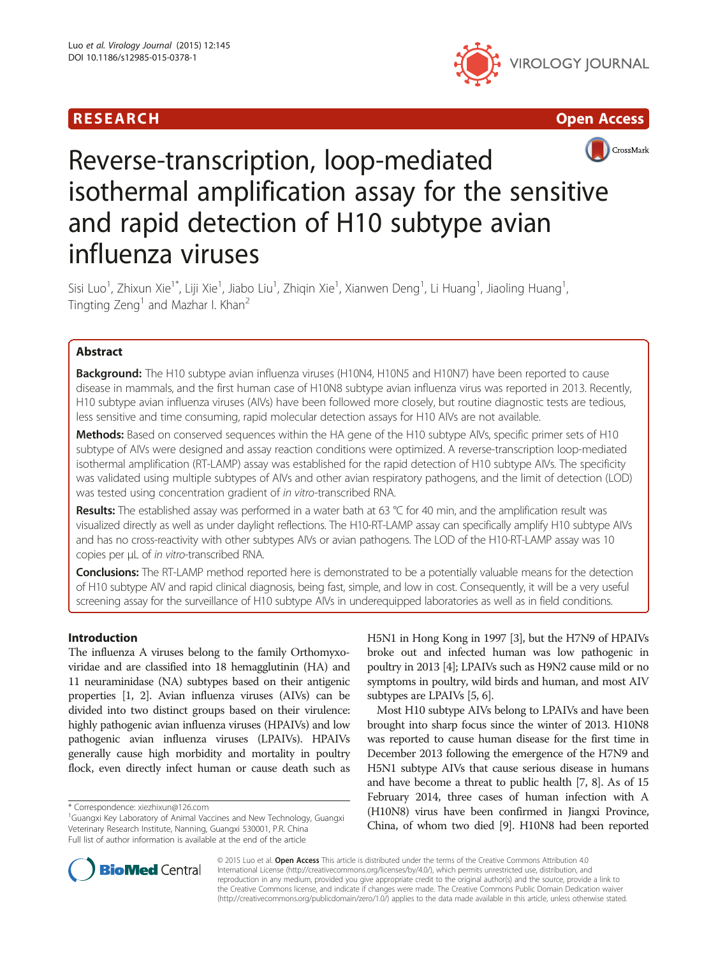





# Reverse-transcription, loop-mediated isothermal amplification assay for the sensitive and rapid detection of H10 subtype avian influenza viruses

Sisi Luo<sup>1</sup>, Zhixun Xie<sup>1\*</sup>, Liji Xie<sup>1</sup>, Jiabo Liu<sup>1</sup>, Zhiqin Xie<sup>1</sup>, Xianwen Deng<sup>1</sup>, Li Huang<sup>1</sup>, Jiaoling Huang<sup>1</sup> , Tingting Zeng<sup>1</sup> and Mazhar I. Khan<sup>2</sup>

# Abstract

Background: The H10 subtype avian influenza viruses (H10N4, H10N5 and H10N7) have been reported to cause disease in mammals, and the first human case of H10N8 subtype avian influenza virus was reported in 2013. Recently, H10 subtype avian influenza viruses (AIVs) have been followed more closely, but routine diagnostic tests are tedious, less sensitive and time consuming, rapid molecular detection assays for H10 AIVs are not available.

Methods: Based on conserved sequences within the HA gene of the H10 subtype AIVs, specific primer sets of H10 subtype of AIVs were designed and assay reaction conditions were optimized. A reverse-transcription loop-mediated isothermal amplification (RT-LAMP) assay was established for the rapid detection of H10 subtype AIVs. The specificity was validated using multiple subtypes of AIVs and other avian respiratory pathogens, and the limit of detection (LOD) was tested using concentration gradient of in vitro-transcribed RNA.

Results: The established assay was performed in a water bath at 63 °C for 40 min, and the amplification result was visualized directly as well as under daylight reflections. The H10-RT-LAMP assay can specifically amplify H10 subtype AIVs and has no cross-reactivity with other subtypes AIVs or avian pathogens. The LOD of the H10-RT-LAMP assay was 10 copies per μL of in vitro-transcribed RNA.

Conclusions: The RT-LAMP method reported here is demonstrated to be a potentially valuable means for the detection of H10 subtype AIV and rapid clinical diagnosis, being fast, simple, and low in cost. Consequently, it will be a very useful screening assay for the surveillance of H10 subtype AIVs in underequipped laboratories as well as in field conditions.

# Introduction

The influenza A viruses belong to the family Orthomyxoviridae and are classified into 18 hemagglutinin (HA) and 11 neuraminidase (NA) subtypes based on their antigenic properties [\[1, 2\]](#page-5-0). Avian influenza viruses (AIVs) can be divided into two distinct groups based on their virulence: highly pathogenic avian influenza viruses (HPAIVs) and low pathogenic avian influenza viruses (LPAIVs). HPAIVs generally cause high morbidity and mortality in poultry flock, even directly infect human or cause death such as

H5N1 in Hong Kong in 1997 [\[3\]](#page-5-0), but the H7N9 of HPAIVs broke out and infected human was low pathogenic in poultry in 2013 [\[4](#page-5-0)]; LPAIVs such as H9N2 cause mild or no symptoms in poultry, wild birds and human, and most AIV subtypes are LPAIVs [[5](#page-5-0), [6\]](#page-5-0).

Most H10 subtype AIVs belong to LPAIVs and have been brought into sharp focus since the winter of 2013. H10N8 was reported to cause human disease for the first time in December 2013 following the emergence of the H7N9 and H5N1 subtype AIVs that cause serious disease in humans and have become a threat to public health [\[7, 8\]](#page-5-0). As of 15 February 2014, three cases of human infection with A (H10N8) virus have been confirmed in Jiangxi Province, China, of whom two died [\[9\]](#page-5-0). H10N8 had been reported



© 2015 Luo et al. Open Access This article is distributed under the terms of the Creative Commons Attribution 4.0 International License [\(http://creativecommons.org/licenses/by/4.0/](http://creativecommons.org/licenses/by/4.0/)), which permits unrestricted use, distribution, and reproduction in any medium, provided you give appropriate credit to the original author(s) and the source, provide a link to the Creative Commons license, and indicate if changes were made. The Creative Commons Public Domain Dedication waiver [\(http://creativecommons.org/publicdomain/zero/1.0/](http://creativecommons.org/publicdomain/zero/1.0/)) applies to the data made available in this article, unless otherwise stated.

<sup>\*</sup> Correspondence: [xiezhixun@126.com](mailto:xiezhixun@126.com) <sup>1</sup>

<sup>&</sup>lt;sup>1</sup> Guangxi Key Laboratory of Animal Vaccines and New Technology, Guangxi Veterinary Research Institute, Nanning, Guangxi 530001, P.R. China Full list of author information is available at the end of the article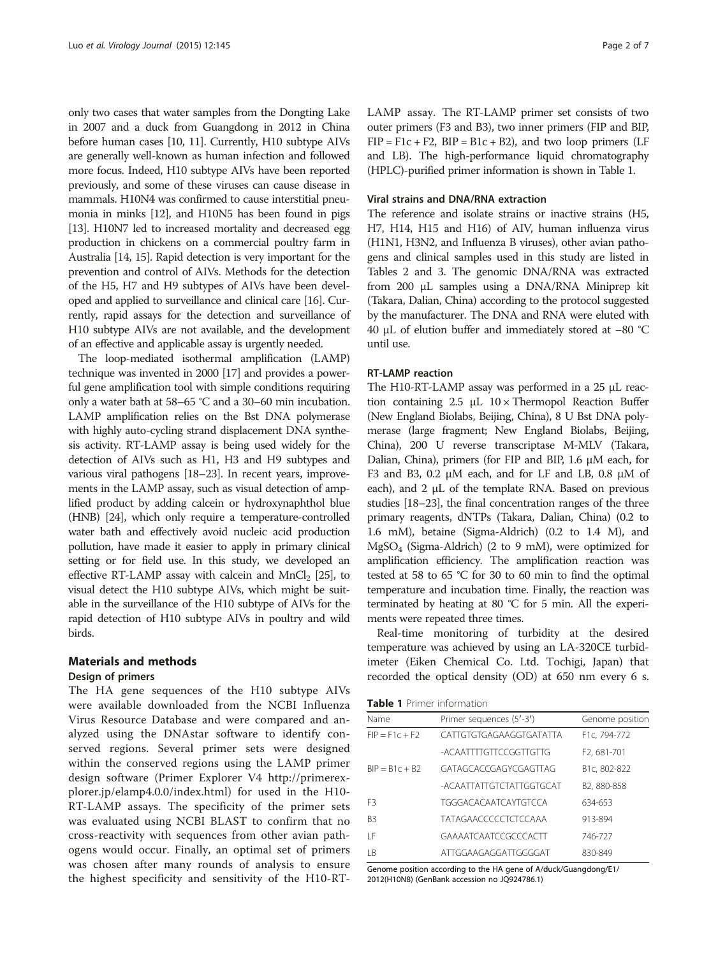only two cases that water samples from the Dongting Lake in 2007 and a duck from Guangdong in 2012 in China before human cases [\[10](#page-5-0), [11](#page-5-0)]. Currently, H10 subtype AIVs are generally well-known as human infection and followed more focus. Indeed, H10 subtype AIVs have been reported previously, and some of these viruses can cause disease in mammals. H10N4 was confirmed to cause interstitial pneumonia in minks [[12](#page-5-0)], and H10N5 has been found in pigs [[13](#page-5-0)]. H10N7 led to increased mortality and decreased egg production in chickens on a commercial poultry farm in Australia [[14](#page-5-0), [15](#page-5-0)]. Rapid detection is very important for the prevention and control of AIVs. Methods for the detection of the H5, H7 and H9 subtypes of AIVs have been developed and applied to surveillance and clinical care [\[16](#page-5-0)]. Currently, rapid assays for the detection and surveillance of H10 subtype AIVs are not available, and the development of an effective and applicable assay is urgently needed.

The loop-mediated isothermal amplification (LAMP) technique was invented in 2000 [\[17\]](#page-5-0) and provides a powerful gene amplification tool with simple conditions requiring only a water bath at 58–65 °C and a 30–60 min incubation. LAMP amplification relies on the Bst DNA polymerase with highly auto-cycling strand displacement DNA synthesis activity. RT-LAMP assay is being used widely for the detection of AIVs such as H1, H3 and H9 subtypes and various viral pathogens [[18](#page-5-0)–[23](#page-5-0)]. In recent years, improvements in the LAMP assay, such as visual detection of amplified product by adding calcein or hydroxynaphthol blue (HNB) [\[24\]](#page-5-0), which only require a temperature-controlled water bath and effectively avoid nucleic acid production pollution, have made it easier to apply in primary clinical setting or for field use. In this study, we developed an effective RT-LAMP assay with calcein and  $MnCl<sub>2</sub>$  [\[25\]](#page-5-0), to visual detect the H10 subtype AIVs, which might be suitable in the surveillance of the H10 subtype of AIVs for the rapid detection of H10 subtype AIVs in poultry and wild birds.

#### Materials and methods

#### Design of primers

The HA gene sequences of the H10 subtype AIVs were available downloaded from the NCBI Influenza Virus Resource Database and were compared and analyzed using the DNAstar software to identify conserved regions. Several primer sets were designed within the conserved regions using the LAMP primer design software (Primer Explorer V4 [http://primerex](http://primerexplorer.jp/elamp4.0.0/index.html)[plorer.jp/elamp4.0.0/index.html\)](http://primerexplorer.jp/elamp4.0.0/index.html) for used in the H10- RT-LAMP assays. The specificity of the primer sets was evaluated using NCBI BLAST to confirm that no cross-reactivity with sequences from other avian pathogens would occur. Finally, an optimal set of primers was chosen after many rounds of analysis to ensure the highest specificity and sensitivity of the H10-RT- LAMP assay. The RT-LAMP primer set consists of two outer primers (F3 and B3), two inner primers (FIP and BIP,  $FIP = F1c + F2$ ,  $BIP = B1c + B2$ ), and two loop primers (LF and LB). The high-performance liquid chromatography (HPLC)-purified primer information is shown in Table 1.

#### Viral strains and DNA/RNA extraction

The reference and isolate strains or inactive strains (H5, H7, H14, H15 and H16) of AIV, human influenza virus (H1N1, H3N2, and Influenza B viruses), other avian pathogens and clinical samples used in this study are listed in Tables [2](#page-2-0) and [3](#page-3-0). The genomic DNA/RNA was extracted from 200 μL samples using a DNA/RNA Miniprep kit (Takara, Dalian, China) according to the protocol suggested by the manufacturer. The DNA and RNA were eluted with 40 μL of elution buffer and immediately stored at −80 °C until use.

#### RT-LAMP reaction

The H10-RT-LAMP assay was performed in a 25 μL reaction containing  $2.5$  μL  $10 \times$  Thermopol Reaction Buffer (New England Biolabs, Beijing, China), 8 U Bst DNA polymerase (large fragment; New England Biolabs, Beijing, China), 200 U reverse transcriptase M-MLV (Takara, Dalian, China), primers (for FIP and BIP, 1.6 μM each, for F3 and B3, 0.2 μM each, and for LF and LB, 0.8 μM of each), and 2 μL of the template RNA. Based on previous studies [[18](#page-5-0)–[23](#page-5-0)], the final concentration ranges of the three primary reagents, dNTPs (Takara, Dalian, China) (0.2 to 1.6 mM), betaine (Sigma-Aldrich) (0.2 to 1.4 M), and MgSO4 (Sigma-Aldrich) (2 to 9 mM), were optimized for amplification efficiency. The amplification reaction was tested at 58 to 65 °C for 30 to 60 min to find the optimal temperature and incubation time. Finally, the reaction was terminated by heating at 80 °C for 5 min. All the experiments were repeated three times.

Real-time monitoring of turbidity at the desired temperature was achieved by using an LA-320CE turbidimeter (Eiken Chemical Co. Ltd. Tochigi, Japan) that recorded the optical density (OD) at 650 nm every 6 s.

Table 1 Primer information

| Name             | Primer sequences (5'-3')    | Genome position           |
|------------------|-----------------------------|---------------------------|
| $FIP = F1C + F2$ | CATTGTGTGAGAAGGTGATATTA     | F1c. 794-772              |
|                  | -ACAATTTTGTTCCGGTTGTTG      | F2, 681-701               |
| $RIP = R1c + R2$ | GATAGCACCGAGYCGAGTTAG       | B <sub>1</sub> c, 802-822 |
|                  | -ACAATTATTGTCTATTGGTGCAT    | B <sub>2</sub> .880-858   |
| F <sub>3</sub>   | TGGGACACAATCAYTGTCCA        | 634-653                   |
| B <sub>3</sub>   | <b>TATAGAACCCCCTCTCCAAA</b> | 913-894                   |
| ΙF               | GAAAATCAATCCGCCCACTT        | 746-727                   |
| ΙB               | ATTGGAAGAGGATTGGGGAT        | 830-849                   |

Genome position according to the HA gene of A/duck/Guangdong/E1/ 2012(H10N8) (GenBank accession no JQ924786.1)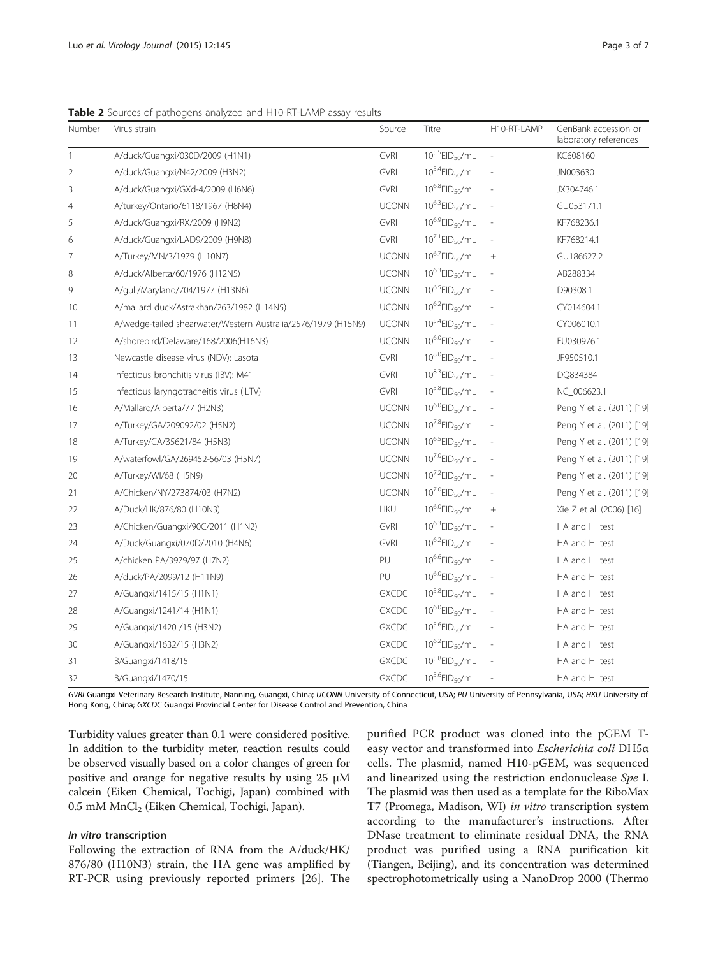<span id="page-2-0"></span>Table 2 Sources of pathogens analyzed and H10-RT-LAMP assay results

| Number         | Virus strain                                                  | Source       | Titre                            | H10-RT-LAMP              | GenBank accession or<br>laboratory references |
|----------------|---------------------------------------------------------------|--------------|----------------------------------|--------------------------|-----------------------------------------------|
| $\mathbf{1}$   | A/duck/Guangxi/030D/2009 (H1N1)                               | GVRI         | $10^{5.5}$ EID <sub>50</sub> /mL | $\overline{\phantom{a}}$ | KC608160                                      |
| $\overline{2}$ | A/duck/Guangxi/N42/2009 (H3N2)                                | <b>GVRI</b>  | $10^{5.4}$ EID <sub>50</sub> /mL |                          | JN003630                                      |
| 3              | A/duck/Guangxi/GXd-4/2009 (H6N6)                              | <b>GVRI</b>  | $10^{6.8}$ EID <sub>50</sub> /mL |                          | JX304746.1                                    |
| $\overline{4}$ | A/turkey/Ontario/6118/1967 (H8N4)                             | <b>UCONN</b> | $10^{6.3}$ EID <sub>50</sub> /mL |                          | GU053171.1                                    |
| 5              | A/duck/Guangxi/RX/2009 (H9N2)                                 | <b>GVRI</b>  | $10^{6.9}$ EID <sub>50</sub> /mL |                          | KF768236.1                                    |
| 6              | A/duck/Guangxi/LAD9/2009 (H9N8)                               | <b>GVRI</b>  | $10^{7.1}$ EID <sub>50</sub> /mL |                          | KF768214.1                                    |
| 7              | A/Turkey/MN/3/1979 (H10N7)                                    | <b>UCONN</b> | $10^{6.7}$ EID <sub>50</sub> /mL | $+$                      | GU186627.2                                    |
| 8              | A/duck/Alberta/60/1976 (H12N5)                                | <b>UCONN</b> | $10^{6.3}$ EID <sub>50</sub> /mL |                          | AB288334                                      |
| 9              | A/gull/Maryland/704/1977 (H13N6)                              | <b>UCONN</b> | $10^{6.5}$ EID <sub>50</sub> /mL |                          | D90308.1                                      |
| 10             | A/mallard duck/Astrakhan/263/1982 (H14N5)                     | <b>UCONN</b> | $10^{6.2}$ EID <sub>50</sub> /mL |                          | CY014604.1                                    |
| 11             | A/wedge-tailed shearwater/Western Australia/2576/1979 (H15N9) | <b>UCONN</b> | $10^{5.4}$ EID <sub>50</sub> /mL |                          | CY006010.1                                    |
| 12             | A/shorebird/Delaware/168/2006(H16N3)                          | <b>UCONN</b> | $10^{6.0}$ EID <sub>50</sub> /mL |                          | EU030976.1                                    |
| 13             | Newcastle disease virus (NDV): Lasota                         | <b>GVRI</b>  | $10^{8.0}$ EID <sub>50</sub> /mL |                          | JF950510.1                                    |
| 14             | Infectious bronchitis virus (IBV): M41                        | <b>GVRI</b>  | $10^{8.3}$ EID <sub>50</sub> /mL |                          | DQ834384                                      |
| 15             | Infectious laryngotracheitis virus (ILTV)                     | <b>GVRI</b>  | $10^{5.8}$ EID <sub>50</sub> /mL |                          | NC_006623.1                                   |
| 16             | A/Mallard/Alberta/77 (H2N3)                                   | <b>UCONN</b> | $10^{6.0}$ EID <sub>50</sub> /mL |                          | Peng Y et al. (2011) [19]                     |
| 17             | A/Turkey/GA/209092/02 (H5N2)                                  | <b>UCONN</b> | $10^{7.8}$ EID <sub>50</sub> /mL |                          | Peng Y et al. (2011) [19]                     |
| 18             | A/Turkey/CA/35621/84 (H5N3)                                   | <b>UCONN</b> | $10^{6.5}$ EID <sub>50</sub> /mL |                          | Peng Y et al. (2011) [19]                     |
| 19             | A/waterfowl/GA/269452-56/03 (H5N7)                            | <b>UCONN</b> | $10^{7.0}$ EID <sub>50</sub> /mL |                          | Peng Y et al. (2011) [19]                     |
| 20             | A/Turkey/WI/68 (H5N9)                                         | <b>UCONN</b> | $10^{7.2}$ EID <sub>50</sub> /mL |                          | Peng Y et al. (2011) [19]                     |
| 21             | A/Chicken/NY/273874/03 (H7N2)                                 | <b>UCONN</b> | $10^{7.0}$ EID <sub>50</sub> /mL |                          | Peng Y et al. (2011) [19]                     |
| 22             | A/Duck/HK/876/80 (H10N3)                                      | <b>HKU</b>   | $10^{6.0}$ EID <sub>50</sub> /mL | $+$                      | Xie Z et al. (2006) [16]                      |
| 23             | A/Chicken/Guangxi/90C/2011 (H1N2)                             | <b>GVRI</b>  | $10^{6.3}$ EID <sub>50</sub> /mL |                          | HA and HI test                                |
| 24             | A/Duck/Guangxi/070D/2010 (H4N6)                               | <b>GVRI</b>  | $10^{6.2}$ EID <sub>50</sub> /mL |                          | HA and HI test                                |
| 25             | A/chicken PA/3979/97 (H7N2)                                   | PU           | $10^{6.6}$ EID <sub>50</sub> /mL |                          | HA and HI test                                |
| 26             | A/duck/PA/2099/12 (H11N9)                                     | PU           | $10^{6.0}$ EID <sub>50</sub> /mL |                          | HA and HI test                                |
| 27             | A/Guangxi/1415/15 (H1N1)                                      | <b>GXCDC</b> | $10^{5.8}$ EID <sub>50</sub> /mL | $\overline{\phantom{a}}$ | HA and HI test                                |
| 28             | A/Guangxi/1241/14 (H1N1)                                      | <b>GXCDC</b> | $10^{6.0}$ EID <sub>50</sub> /mL | $\overline{\phantom{a}}$ | HA and HI test                                |
| 29             | A/Guangxi/1420 /15 (H3N2)                                     | <b>GXCDC</b> | $10^{5.6}$ EID <sub>50</sub> /mL |                          | HA and HI test                                |
| 30             | A/Guangxi/1632/15 (H3N2)                                      | <b>GXCDC</b> | $10^{6.2}$ EID <sub>50</sub> /mL |                          | HA and HI test                                |
| 31             | B/Guangxi/1418/15                                             | <b>GXCDC</b> | $10^{5.8}$ EID <sub>50</sub> /mL |                          | HA and HI test                                |
| 32             | B/Guangxi/1470/15                                             | <b>GXCDC</b> | $10^{5.6}$ EID <sub>50</sub> /mL |                          | HA and HI test                                |

GVRI Guangxi Veterinary Research Institute, Nanning, Guangxi, China; UCONN University of Connecticut, USA; PU University of Pennsylvania, USA; HKU University of Hong Kong, China; GXCDC Guangxi Provincial Center for Disease Control and Prevention, China

Turbidity values greater than 0.1 were considered positive. In addition to the turbidity meter, reaction results could be observed visually based on a color changes of green for positive and orange for negative results by using 25 μM calcein (Eiken Chemical, Tochigi, Japan) combined with 0.5 mM MnCl<sub>2</sub> (Eiken Chemical, Tochigi, Japan).

#### In vitro transcription

Following the extraction of RNA from the A/duck/HK/ 876/80 (H10N3) strain, the HA gene was amplified by RT-PCR using previously reported primers [\[26](#page-5-0)]. The

purified PCR product was cloned into the pGEM Teasy vector and transformed into Escherichia coli DH5α cells. The plasmid, named H10-pGEM, was sequenced and linearized using the restriction endonuclease Spe I. The plasmid was then used as a template for the RiboMax T7 (Promega, Madison, WI) in vitro transcription system according to the manufacturer's instructions. After DNase treatment to eliminate residual DNA, the RNA product was purified using a RNA purification kit (Tiangen, Beijing), and its concentration was determined spectrophotometrically using a NanoDrop 2000 (Thermo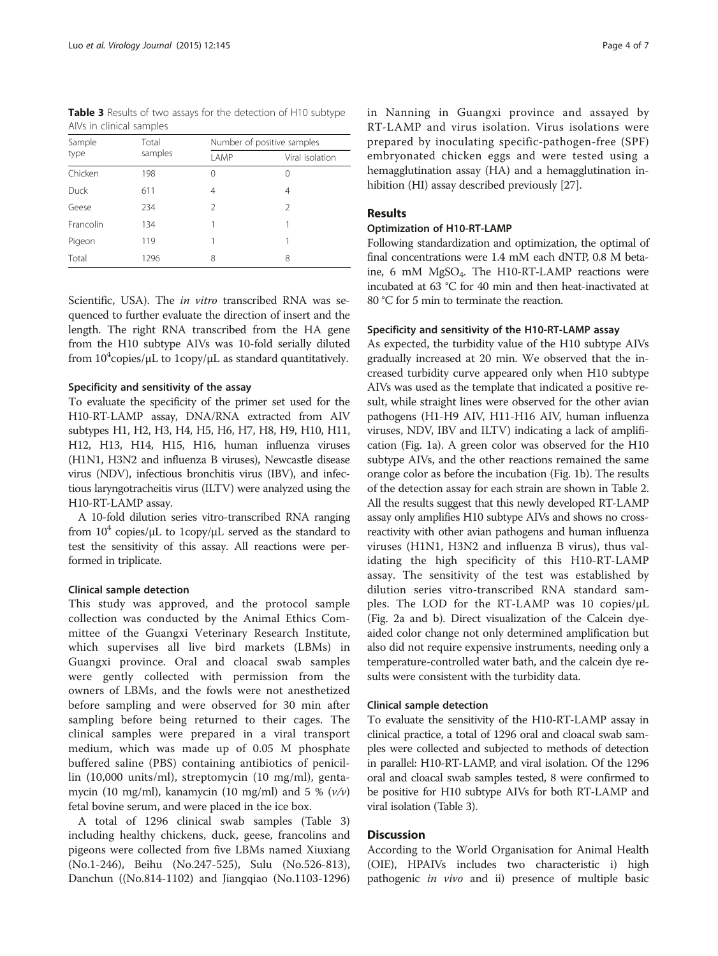<span id="page-3-0"></span>Table 3 Results of two assays for the detection of H10 subtype AIVs in clinical samples

| Sample      | Total   | Number of positive samples |                 |  |
|-------------|---------|----------------------------|-----------------|--|
| type        | samples | LAMP                       | Viral isolation |  |
| Chicken     | 198     | 0                          | 0               |  |
| <b>Duck</b> | 611     | 4                          | 4               |  |
| Geese       | 234     | $\mathcal{P}$              | $\mathcal{P}$   |  |
| Francolin   | 134     |                            | 1               |  |
| Pigeon      | 119     |                            | 1               |  |
| Total       | 1296    | 8                          | 8               |  |

Scientific, USA). The in vitro transcribed RNA was sequenced to further evaluate the direction of insert and the length. The right RNA transcribed from the HA gene from the H10 subtype AIVs was 10-fold serially diluted from  $10^4$ copies/ $\mu$ L to  $1$ copy/ $\mu$ L as standard quantitatively.

#### Specificity and sensitivity of the assay

To evaluate the specificity of the primer set used for the H10-RT-LAMP assay, DNA/RNA extracted from AIV subtypes H1, H2, H3, H4, H5, H6, H7, H8, H9, H10, H11, H12, H13, H14, H15, H16, human influenza viruses (H1N1, H3N2 and influenza B viruses), Newcastle disease virus (NDV), infectious bronchitis virus (IBV), and infectious laryngotracheitis virus (ILTV) were analyzed using the H10-RT-LAMP assay.

A 10-fold dilution series vitro-transcribed RNA ranging from  $10^4$  copies/μL to 1copy/μL served as the standard to test the sensitivity of this assay. All reactions were performed in triplicate.

#### Clinical sample detection

This study was approved, and the protocol sample collection was conducted by the Animal Ethics Committee of the Guangxi Veterinary Research Institute, which supervises all live bird markets (LBMs) in Guangxi province. Oral and cloacal swab samples were gently collected with permission from the owners of LBMs, and the fowls were not anesthetized before sampling and were observed for 30 min after sampling before being returned to their cages. The clinical samples were prepared in a viral transport medium, which was made up of 0.05 M phosphate buffered saline (PBS) containing antibiotics of penicillin (10,000 units/ml), streptomycin (10 mg/ml), gentamycin (10 mg/ml), kanamycin (10 mg/ml) and 5 %  $(v/v)$ fetal bovine serum, and were placed in the ice box.

A total of 1296 clinical swab samples (Table 3) including healthy chickens, duck, geese, francolins and pigeons were collected from five LBMs named Xiuxiang (No.1-246), Beihu (No.247-525), Sulu (No.526-813), Danchun ((No.814-1102) and Jiangqiao (No.1103-1296) in Nanning in Guangxi province and assayed by RT-LAMP and virus isolation. Virus isolations were prepared by inoculating specific-pathogen-free (SPF) embryonated chicken eggs and were tested using a hemagglutination assay (HA) and a hemagglutination inhibition (HI) assay described previously [\[27\]](#page-6-0).

### Results

### Optimization of H10-RT-LAMP

Following standardization and optimization, the optimal of final concentrations were 1.4 mM each dNTP, 0.8 M betaine, 6 mM MgSO<sub>4</sub>. The H10-RT-LAMP reactions were incubated at 63 °C for 40 min and then heat-inactivated at 80 °C for 5 min to terminate the reaction.

#### Specificity and sensitivity of the H10-RT-LAMP assay

As expected, the turbidity value of the H10 subtype AIVs gradually increased at 20 min. We observed that the increased turbidity curve appeared only when H10 subtype AIVs was used as the template that indicated a positive result, while straight lines were observed for the other avian pathogens (H1-H9 AIV, H11-H16 AIV, human influenza viruses, NDV, IBV and ILTV) indicating a lack of amplification (Fig. [1a\)](#page-4-0). A green color was observed for the H10 subtype AIVs, and the other reactions remained the same orange color as before the incubation (Fig. [1b](#page-4-0)). The results of the detection assay for each strain are shown in Table [2](#page-2-0). All the results suggest that this newly developed RT-LAMP assay only amplifies H10 subtype AIVs and shows no crossreactivity with other avian pathogens and human influenza viruses (H1N1, H3N2 and influenza B virus), thus validating the high specificity of this H10-RT-LAMP assay. The sensitivity of the test was established by dilution series vitro-transcribed RNA standard samples. The LOD for the RT-LAMP was 10 copies/μL (Fig. [2a](#page-4-0) and [b](#page-4-0)). Direct visualization of the Calcein dyeaided color change not only determined amplification but also did not require expensive instruments, needing only a temperature-controlled water bath, and the calcein dye results were consistent with the turbidity data.

#### Clinical sample detection

To evaluate the sensitivity of the H10-RT-LAMP assay in clinical practice, a total of 1296 oral and cloacal swab samples were collected and subjected to methods of detection in parallel: H10-RT-LAMP, and viral isolation. Of the 1296 oral and cloacal swab samples tested, 8 were confirmed to be positive for H10 subtype AIVs for both RT-LAMP and viral isolation (Table 3).

#### **Discussion**

According to the World Organisation for Animal Health (OIE), HPAIVs includes two characteristic i) high pathogenic in vivo and ii) presence of multiple basic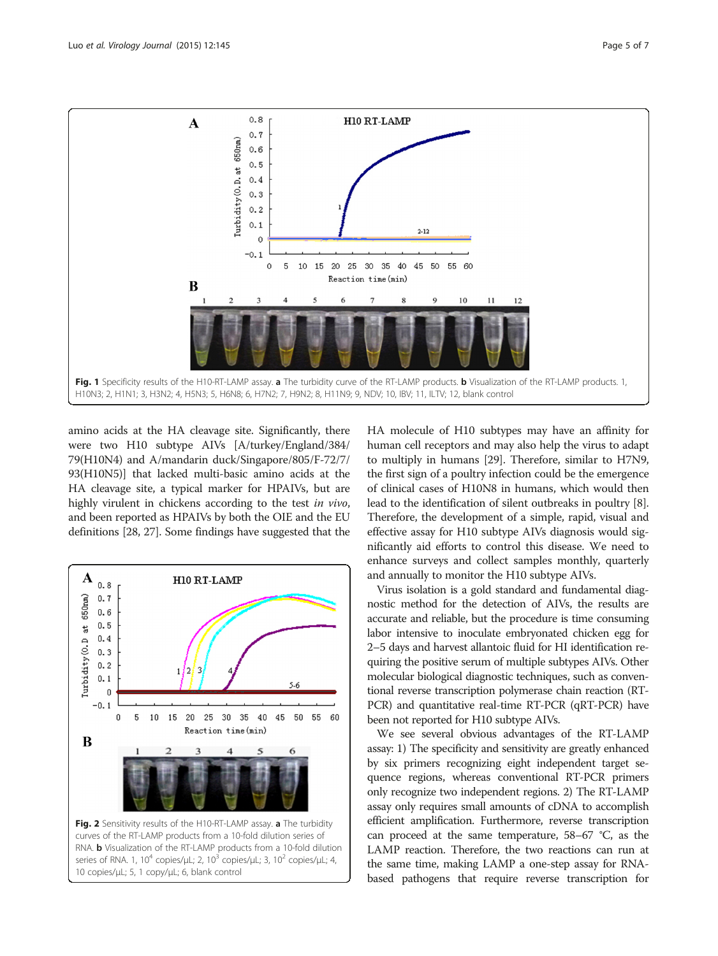<span id="page-4-0"></span>

amino acids at the HA cleavage site. Significantly, there were two H10 subtype AIVs [A/turkey/England/384/ 79(H10N4) and A/mandarin duck/Singapore/805/F-72/7/ 93(H10N5)] that lacked multi-basic amino acids at the HA cleavage site, a typical marker for HPAIVs, but are highly virulent in chickens according to the test in vivo, and been reported as HPAIVs by both the OIE and the EU definitions [[28](#page-6-0), [27\]](#page-6-0). Some findings have suggested that the



HA molecule of H10 subtypes may have an affinity for human cell receptors and may also help the virus to adapt to multiply in humans [[29](#page-6-0)]. Therefore, similar to H7N9, the first sign of a poultry infection could be the emergence of clinical cases of H10N8 in humans, which would then lead to the identification of silent outbreaks in poultry [[8](#page-5-0)]. Therefore, the development of a simple, rapid, visual and effective assay for H10 subtype AIVs diagnosis would significantly aid efforts to control this disease. We need to enhance surveys and collect samples monthly, quarterly and annually to monitor the H10 subtype AIVs.

Virus isolation is a gold standard and fundamental diagnostic method for the detection of AIVs, the results are accurate and reliable, but the procedure is time consuming labor intensive to inoculate embryonated chicken egg for 2–5 days and harvest allantoic fluid for HI identification requiring the positive serum of multiple subtypes AIVs. Other molecular biological diagnostic techniques, such as conventional reverse transcription polymerase chain reaction (RT-PCR) and quantitative real-time RT-PCR (qRT-PCR) have been not reported for H10 subtype AIVs.

We see several obvious advantages of the RT-LAMP assay: 1) The specificity and sensitivity are greatly enhanced by six primers recognizing eight independent target sequence regions, whereas conventional RT-PCR primers only recognize two independent regions. 2) The RT-LAMP assay only requires small amounts of cDNA to accomplish efficient amplification. Furthermore, reverse transcription can proceed at the same temperature, 58–67 °C, as the LAMP reaction. Therefore, the two reactions can run at the same time, making LAMP a one-step assay for RNAbased pathogens that require reverse transcription for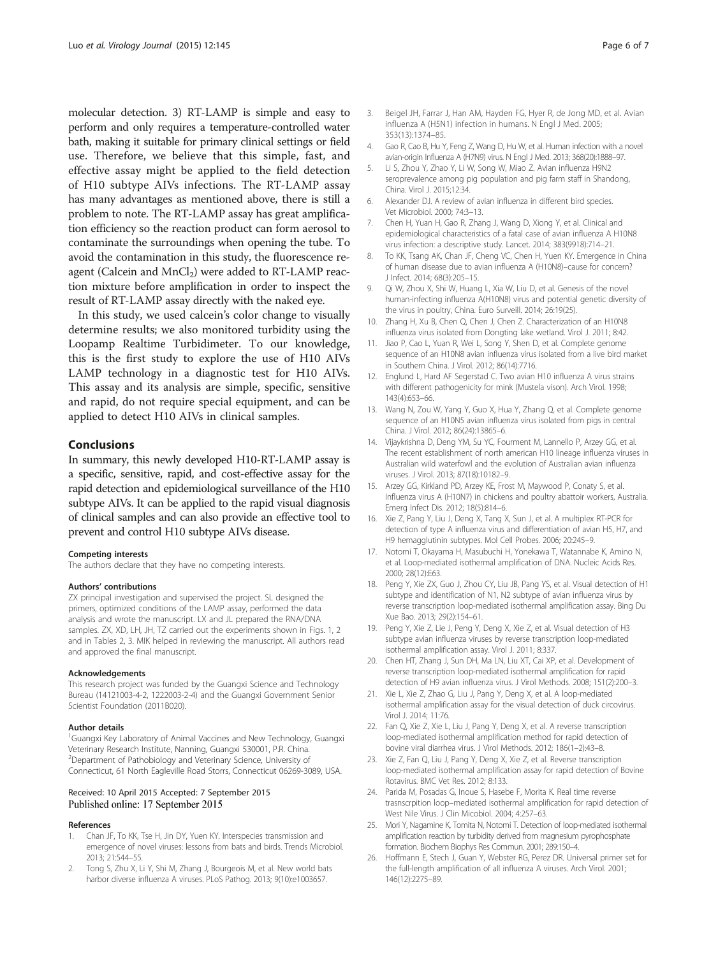<span id="page-5-0"></span>molecular detection. 3) RT-LAMP is simple and easy to perform and only requires a temperature-controlled water bath, making it suitable for primary clinical settings or field use. Therefore, we believe that this simple, fast, and effective assay might be applied to the field detection of H10 subtype AIVs infections. The RT-LAMP assay has many advantages as mentioned above, there is still a problem to note. The RT-LAMP assay has great amplification efficiency so the reaction product can form aerosol to contaminate the surroundings when opening the tube. To avoid the contamination in this study, the fluorescence reagent (Calcein and  $MnCl<sub>2</sub>$ ) were added to RT-LAMP reaction mixture before amplification in order to inspect the result of RT-LAMP assay directly with the naked eye.

In this study, we used calcein's color change to visually determine results; we also monitored turbidity using the Loopamp Realtime Turbidimeter. To our knowledge, this is the first study to explore the use of H10 AIVs LAMP technology in a diagnostic test for H10 AIVs. This assay and its analysis are simple, specific, sensitive and rapid, do not require special equipment, and can be applied to detect H10 AIVs in clinical samples.

#### Conclusions

In summary, this newly developed H10-RT-LAMP assay is a specific, sensitive, rapid, and cost-effective assay for the rapid detection and epidemiological surveillance of the H10 subtype AIVs. It can be applied to the rapid visual diagnosis of clinical samples and can also provide an effective tool to prevent and control H10 subtype AIVs disease.

#### Competing interests

The authors declare that they have no competing interests.

#### Authors' contributions

ZX principal investigation and supervised the project. SL designed the primers, optimized conditions of the LAMP assay, performed the data analysis and wrote the manuscript. LX and JL prepared the RNA/DNA samples. ZX, XD, LH, JH, TZ carried out the experiments shown in Figs. 1, 2 and in Tables 2, 3. MIK helped in reviewing the manuscript. All authors read and approved the final manuscript.

#### Acknowledgements

This research project was funded by the Guangxi Science and Technology Bureau (14121003-4-2, 1222003-2-4) and the Guangxi Government Senior Scientist Foundation (2011B020).

#### Author details

<sup>1</sup>Guangxi Key Laboratory of Animal Vaccines and New Technology, Guangxi Veterinary Research Institute, Nanning, Guangxi 530001, P.R. China. <sup>2</sup>Department of Pathobiology and Veterinary Science, University of Connecticut, 61 North Eagleville Road Storrs, Connecticut 06269-3089, USA.

#### Received: 10 April 2015 Accepted: 7 September 2015 Published online: 17 September 2015

#### References

- 1. Chan JF, To KK, Tse H, Jin DY, Yuen KY. Interspecies transmission and emergence of novel viruses: lessons from bats and birds. Trends Microbiol. 2013; 21:544–55.
- 2. Tong S, Zhu X, Li Y, Shi M, Zhang J, Bourgeois M, et al. New world bats harbor diverse influenza A viruses. PLoS Pathog. 2013; 9(10):e1003657.
- 3. Beigel JH, Farrar J, Han AM, Hayden FG, Hyer R, de Jong MD, et al. Avian influenza A (H5N1) infection in humans. N Engl J Med. 2005; 353(13):1374–85.
- 4. Gao R, Cao B, Hu Y, Feng Z, Wang D, Hu W, et al. Human infection with a novel avian-origin Influenza A (H7N9) virus. N Engl J Med. 2013; 368(20):1888–97.
- 5. Li S, Zhou Y, Zhao Y, Li W, Song W, Miao Z. Avian influenza H9N2 seroprevalence among pig population and pig farm staff in Shandong, China. Virol J. 2015;12:34.
- 6. Alexander DJ. A review of avian influenza in different bird species. Vet Microbiol. 2000; 74:3–13.
- 7. Chen H, Yuan H, Gao R, Zhang J, Wang D, Xiong Y, et al. Clinical and epidemiological characteristics of a fatal case of avian influenza A H10N8 virus infection: a descriptive study. Lancet. 2014; 383(9918):714–21.
- 8. To KK, Tsang AK, Chan JF, Cheng VC, Chen H, Yuen KY. Emergence in China of human disease due to avian influenza A (H10N8)–cause for concern? J Infect. 2014; 68(3):205–15.
- 9. Qi W, Zhou X, Shi W, Huang L, Xia W, Liu D, et al. Genesis of the novel human-infecting influenza A(H10N8) virus and potential genetic diversity of the virus in poultry, China. Euro Surveill. 2014; 26:19(25).
- 10. Zhang H, Xu B, Chen Q, Chen J, Chen Z. Characterization of an H10N8 influenza virus isolated from Dongting lake wetland. Virol J. 2011; 8:42.
- 11. Jiao P, Cao L, Yuan R, Wei L, Song Y, Shen D, et al. Complete genome sequence of an H10N8 avian influenza virus isolated from a live bird market in Southern China. J Virol. 2012; 86(14):7716.
- 12. Englund L, Hard AF Segerstad C. Two avian H10 influenza A virus strains with different pathogenicity for mink (Mustela vison). Arch Virol. 1998; 143(4):653–66.
- 13. Wang N, Zou W, Yang Y, Guo X, Hua Y, Zhang Q, et al. Complete genome sequence of an H10N5 avian influenza virus isolated from pigs in central China. J Virol. 2012; 86(24):13865–6.
- 14. Vijaykrishna D, Deng YM, Su YC, Fourment M, Lannello P, Arzey GG, et al. The recent establishment of north american H10 lineage influenza viruses in Australian wild waterfowl and the evolution of Australian avian influenza viruses. J Virol. 2013; 87(18):10182–9.
- 15. Arzey GG, Kirkland PD, Arzey KE, Frost M, Maywood P, Conaty S, et al. Influenza virus A (H10N7) in chickens and poultry abattoir workers, Australia. Emerg Infect Dis. 2012; 18(5):814–6.
- 16. Xie Z, Pang Y, Liu J, Deng X, Tang X, Sun J, et al. A multiplex RT-PCR for detection of type A influenza virus and differentiation of avian H5, H7, and H9 hemagglutinin subtypes. Mol Cell Probes. 2006; 20:245–9.
- 17. Notomi T, Okayama H, Masubuchi H, Yonekawa T, Watannabe K, Amino N, et al. Loop-mediated isothermal amplification of DNA. Nucleic Acids Res. 2000; 28(12):E63.
- 18. Peng Y, Xie ZX, Guo J, Zhou CY, Liu JB, Pang YS, et al. Visual detection of H1 subtype and identification of N1, N2 subtype of avian influenza virus by reverse transcription loop-mediated isothermal amplification assay. Bing Du Xue Bao. 2013; 29(2):154–61.
- 19. Peng Y, Xie Z, Lie J, Peng Y, Deng X, Xie Z, et al. Visual detection of H3 subtype avian influenza viruses by reverse transcription loop-mediated isothermal amplification assay. Virol J. 2011; 8:337.
- 20. Chen HT, Zhang J, Sun DH, Ma LN, Liu XT, Cai XP, et al. Development of reverse transcription loop-mediated isothermal amplification for rapid detection of H9 avian influenza virus. J Virol Methods. 2008; 151(2):200–3.
- 21. Xie L, Xie Z, Zhao G, Liu J, Pang Y, Deng X, et al. A loop-mediated isothermal amplification assay for the visual detection of duck circovirus. Virol J. 2014; 11:76.
- 22. Fan Q, Xie Z, Xie L, Liu J, Pang Y, Deng X, et al. A reverse transcription loop-mediated isothermal amplification method for rapid detection of bovine viral diarrhea virus. J Virol Methods. 2012; 186(1–2):43–8.
- 23. Xie Z, Fan Q, Liu J, Pang Y, Deng X, Xie Z, et al. Reverse transcription loop-mediated isothermal amplification assay for rapid detection of Bovine Rotavirus. BMC Vet Res. 2012; 8:133.
- 24. Parida M, Posadas G, Inoue S, Hasebe F, Morita K. Real time reverse trasnscrpition loop–mediated isothermal amplification for rapid detection of West Nile Virus. J Clin Micobiol. 2004; 4:257–63.
- 25. Mori Y, Nagamine K, Tomita N, Notomi T. Detection of loop-mediated isothermal amplification reaction by turbidity derived from magnesium pyrophosphate formation. Biochem Biophys Res Commun. 2001; 289:150–4.
- 26. Hoffmann E, Stech J, Guan Y, Webster RG, Perez DR. Universal primer set for the full-length amplification of all influenza A viruses. Arch Virol. 2001; 146(12):2275–89.